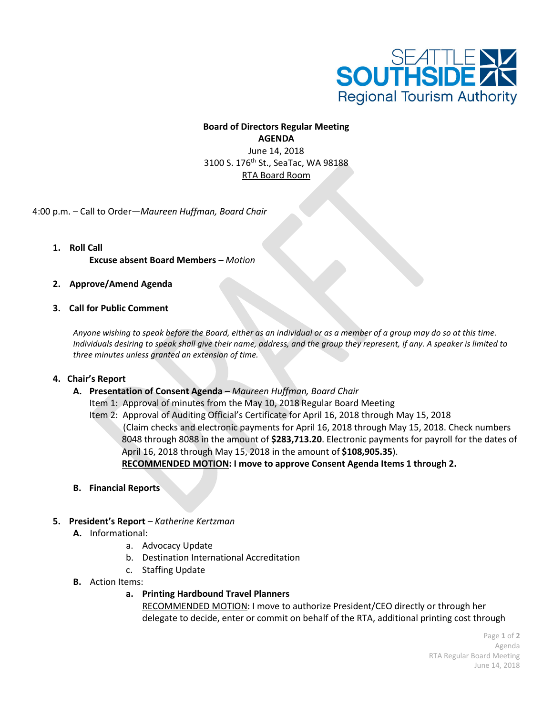

# **Board of Directors Regular Meeting AGENDA** June 14, 2018 3100 S. 176<sup>th</sup> St., SeaTac, WA 98188

RTA Board Room

4:00 p.m. – Call to Order—*Maureen Huffman, Board Chair*

**1. Roll Call Excuse absent Board Members** *– Motion*

#### **2. Approve/Amend Agenda**

### **3. Call for Public Comment**

*Anyone wishing to speak before the Board, either as an individual or as a member of a group may do so at this time. Individuals desiring to speak shall give their name, address, and the group they represent, if any. A speaker is limited to three minutes unless granted an extension of time.*

#### **4. Chair's Report**

**A. Presentation of Consent Agenda** *– Maureen Huffman, Board Chair*

Item 1: Approval of minutes from the May 10, 2018 Regular Board Meeting

Item 2: Approval of Auditing Official's Certificate for April 16, 2018 through May 15, 2018 (Claim checks and electronic payments for April 16, 2018 through May 15, 2018. Check numbers 8048 through 8088 in the amount of **\$283,713.20**. Electronic payments for payroll for the dates of April 16, 2018 through May 15, 2018 in the amount of **\$108,905.35**). **RECOMMENDED MOTION: I move to approve Consent Agenda Items 1 through 2.**

**B. Financial Reports** 

# **5. President's Report** *– Katherine Kertzman*

- **A.** Informational:
	- a. Advocacy Update
	- b. Destination International Accreditation
	- c. Staffing Update
- **B.** Action Items:

# **a. Printing Hardbound Travel Planners**

RECOMMENDED MOTION: I move to authorize President/CEO directly or through her delegate to decide, enter or commit on behalf of the RTA, additional printing cost through

> Page **1** of **2**  Agenda RTA Regular Board Meeting June 14, 2018